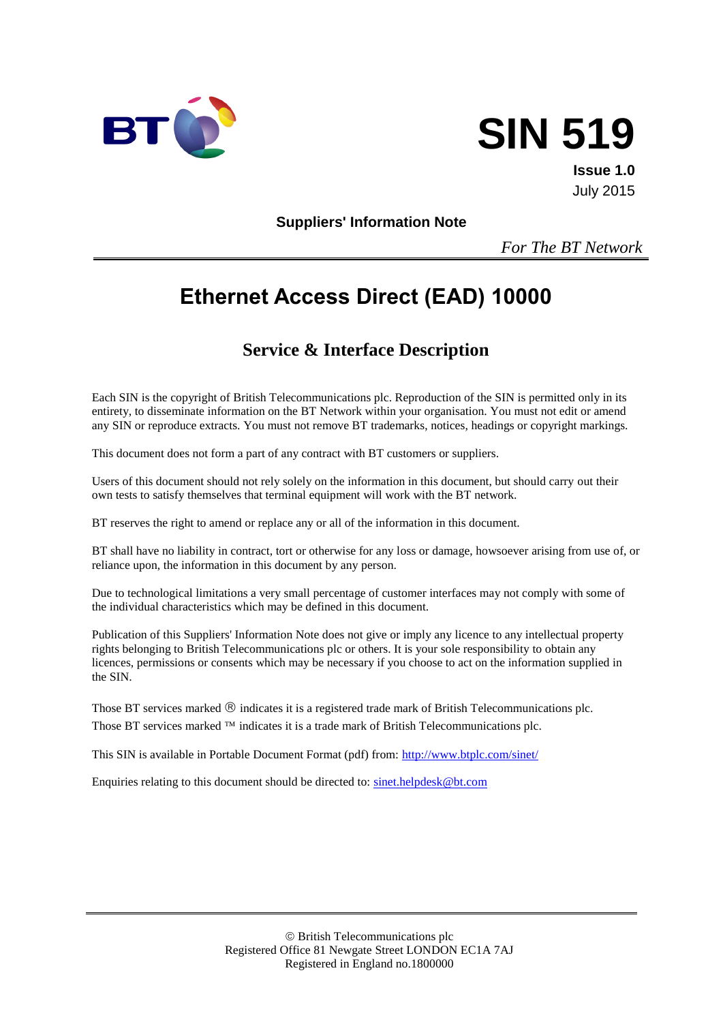



**Issue 1.0** July 2015

**Suppliers' Information Note**

*For The BT Network*

# **Ethernet Access Direct (EAD) 10000**

# **Service & Interface Description**

Each SIN is the copyright of British Telecommunications plc. Reproduction of the SIN is permitted only in its entirety, to disseminate information on the BT Network within your organisation. You must not edit or amend any SIN or reproduce extracts. You must not remove BT trademarks, notices, headings or copyright markings.

This document does not form a part of any contract with BT customers or suppliers.

Users of this document should not rely solely on the information in this document, but should carry out their own tests to satisfy themselves that terminal equipment will work with the BT network.

BT reserves the right to amend or replace any or all of the information in this document.

BT shall have no liability in contract, tort or otherwise for any loss or damage, howsoever arising from use of, or reliance upon, the information in this document by any person.

Due to technological limitations a very small percentage of customer interfaces may not comply with some of the individual characteristics which may be defined in this document.

Publication of this Suppliers' Information Note does not give or imply any licence to any intellectual property rights belonging to British Telecommunications plc or others. It is your sole responsibility to obtain any licences, permissions or consents which may be necessary if you choose to act on the information supplied in the SIN.

Those BT services marked  $\circledR$  indicates it is a registered trade mark of British Telecommunications plc. Those BT services marked  $TM$  indicates it is a trade mark of British Telecommunications plc.

This SIN is available in Portable Document Format (pdf) from:<http://www.btplc.com/sinet/>

Enquiries relating to this document should be directed to: [sinet.helpdesk@bt.com](mailto:sinet.helpdesk@bt.com)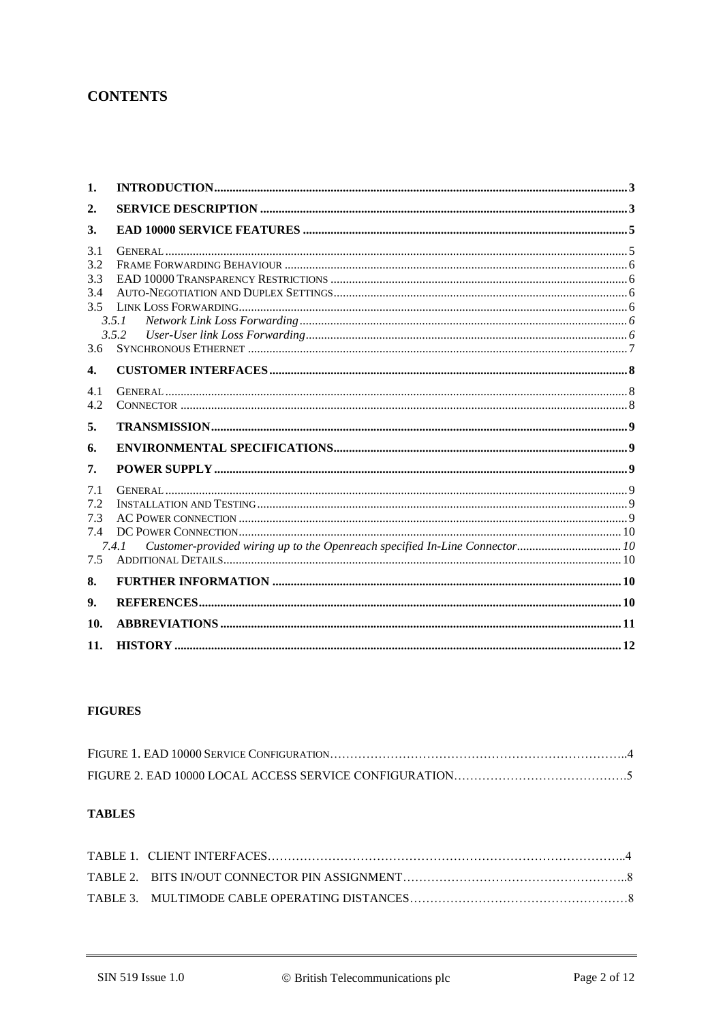# **CONTENTS**

| 1.                      |       |  |
|-------------------------|-------|--|
| $\overline{2}$ .        |       |  |
| 3.                      |       |  |
| 3.1<br>3.2<br>3.3       |       |  |
| 3.4<br>3.5              | 3.5.1 |  |
| 3.6                     | 3.5.2 |  |
| 4.                      |       |  |
| 4.1<br>4.2              |       |  |
| 5.                      |       |  |
| 6.                      |       |  |
| 7.                      |       |  |
| 7.1<br>7.2<br>7.3<br>74 |       |  |
| 7.5                     | 7.4.1 |  |
| 8.                      |       |  |
|                         |       |  |
| 9.                      |       |  |
| 10.                     |       |  |

#### **FIGURES**

#### **TABLES**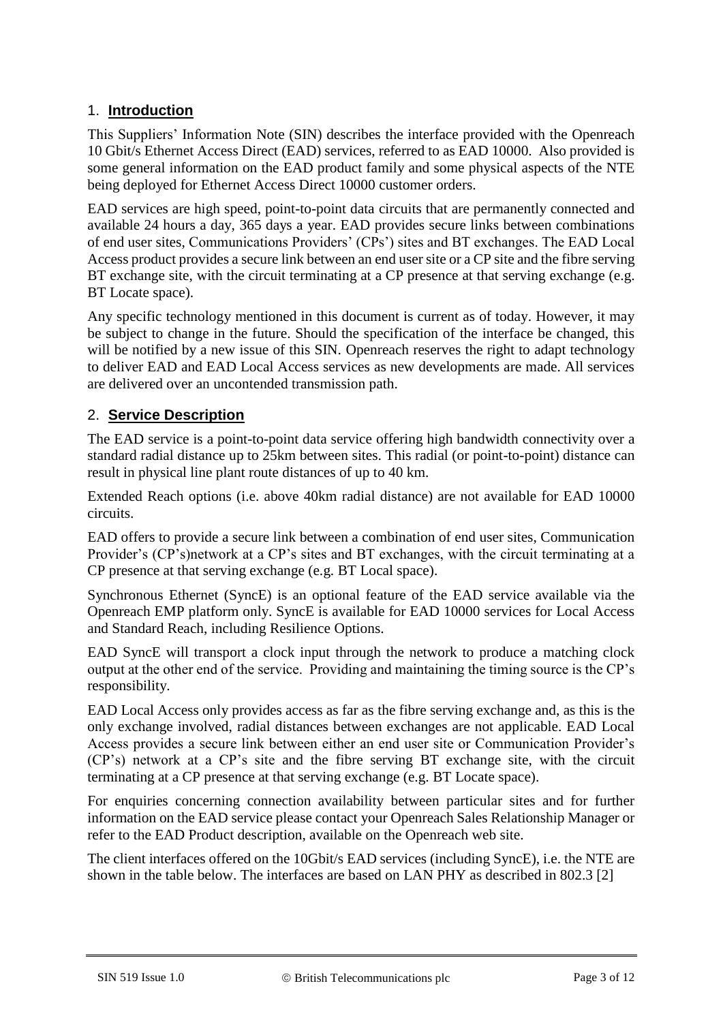# <span id="page-2-0"></span>1. **Introduction**

This Suppliers' Information Note (SIN) describes the interface provided with the Openreach 10 Gbit/s Ethernet Access Direct (EAD) services, referred to as EAD 10000. Also provided is some general information on the EAD product family and some physical aspects of the NTE being deployed for Ethernet Access Direct 10000 customer orders.

EAD services are high speed, point-to-point data circuits that are permanently connected and available 24 hours a day, 365 days a year. EAD provides secure links between combinations of end user sites, Communications Providers' (CPs') sites and BT exchanges. The EAD Local Access product provides a secure link between an end user site or a CP site and the fibre serving BT exchange site, with the circuit terminating at a CP presence at that serving exchange (e.g. BT Locate space).

Any specific technology mentioned in this document is current as of today. However, it may be subject to change in the future. Should the specification of the interface be changed, this will be notified by a new issue of this SIN. Openreach reserves the right to adapt technology to deliver EAD and EAD Local Access services as new developments are made. All services are delivered over an uncontended transmission path.

# <span id="page-2-1"></span>2. **Service Description**

The EAD service is a point-to-point data service offering high bandwidth connectivity over a standard radial distance up to 25km between sites. This radial (or point-to-point) distance can result in physical line plant route distances of up to 40 km.

Extended Reach options (i.e. above 40km radial distance) are not available for EAD 10000 circuits.

EAD offers to provide a secure link between a combination of end user sites, Communication Provider's (CP's)network at a CP's sites and BT exchanges, with the circuit terminating at a CP presence at that serving exchange (e.g. BT Local space).

Synchronous Ethernet (SyncE) is an optional feature of the EAD service available via the Openreach EMP platform only. SyncE is available for EAD 10000 services for Local Access and Standard Reach, including Resilience Options.

EAD SyncE will transport a clock input through the network to produce a matching clock output at the other end of the service. Providing and maintaining the timing source is the CP's responsibility.

EAD Local Access only provides access as far as the fibre serving exchange and, as this is the only exchange involved, radial distances between exchanges are not applicable. EAD Local Access provides a secure link between either an end user site or Communication Provider's (CP's) network at a CP's site and the fibre serving BT exchange site, with the circuit terminating at a CP presence at that serving exchange (e.g. BT Locate space).

For enquiries concerning connection availability between particular sites and for further information on the EAD service please contact your Openreach Sales Relationship Manager or refer to the EAD Product description, available on the Openreach web site.

The client interfaces offered on the 10Gbit/s EAD services (including SyncE), i.e. the NTE are shown in the table below. The interfaces are based on LAN PHY as described in 802.3 [2]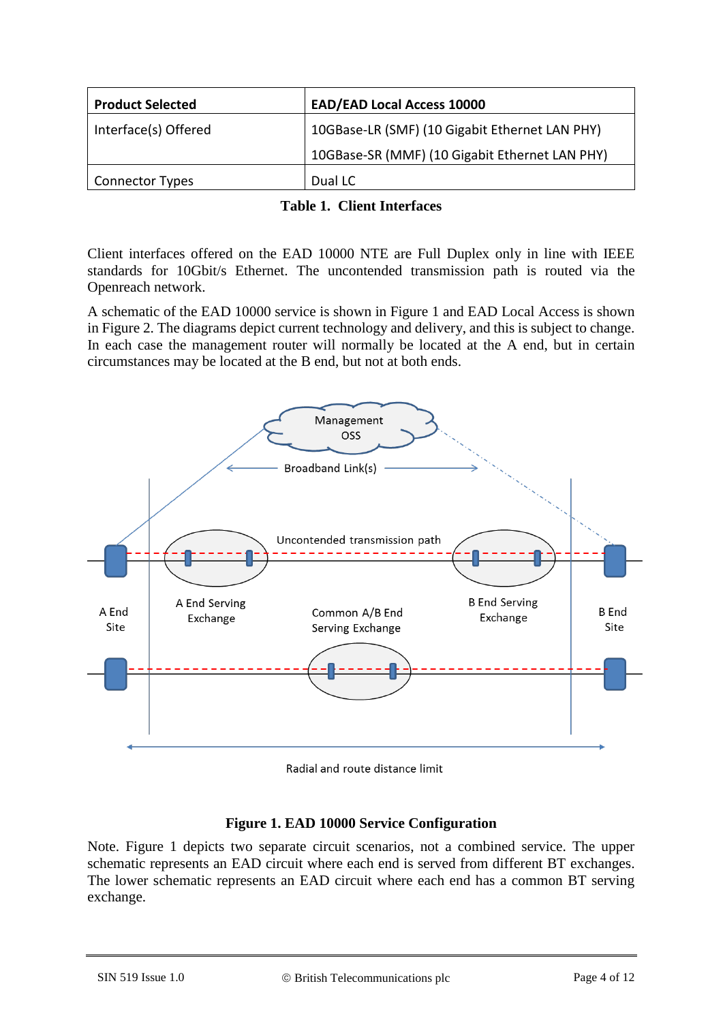| <b>Product Selected</b> | <b>EAD/EAD Local Access 10000</b>              |
|-------------------------|------------------------------------------------|
| Interface(s) Offered    | 10GBase-LR (SMF) (10 Gigabit Ethernet LAN PHY) |
|                         | 10GBase-SR (MMF) (10 Gigabit Ethernet LAN PHY) |
| Connector Types         | Dual LC                                        |

| <b>Table 1. Client Interfaces</b> |
|-----------------------------------|
|                                   |

Client interfaces offered on the EAD 10000 NTE are Full Duplex only in line with IEEE standards for 10Gbit/s Ethernet. The uncontended transmission path is routed via the Openreach network.

A schematic of the EAD 10000 service is shown in Figure 1 and EAD Local Access is shown in Figure 2. The diagrams depict current technology and delivery, and this is subject to change. In each case the management router will normally be located at the A end, but in certain circumstances may be located at the B end, but not at both ends.



Radial and route distance limit

# **Figure 1. EAD 10000 Service Configuration**

Note. Figure 1 depicts two separate circuit scenarios, not a combined service. The upper schematic represents an EAD circuit where each end is served from different BT exchanges. The lower schematic represents an EAD circuit where each end has a common BT serving exchange.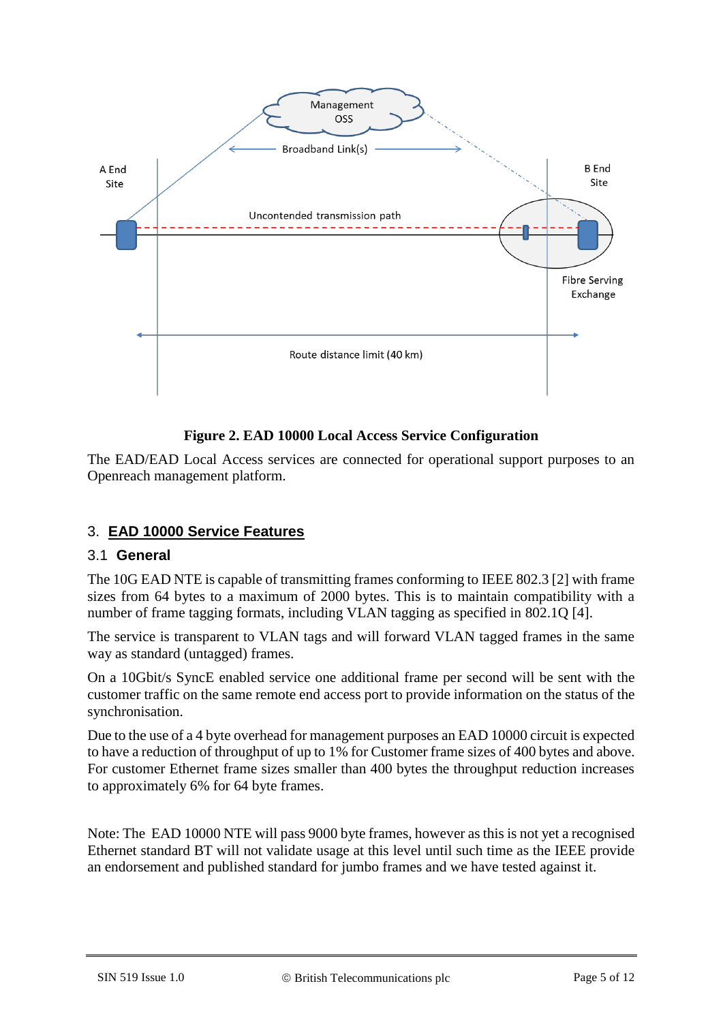

# **Figure 2. EAD 10000 Local Access Service Configuration**

The EAD/EAD Local Access services are connected for operational support purposes to an Openreach management platform.

# <span id="page-4-0"></span>3. **EAD 10000 Service Features**

#### <span id="page-4-1"></span>3.1 **General**

The 10G EAD NTE is capable of transmitting frames conforming to IEEE 802.3 [2] with frame sizes from 64 bytes to a maximum of 2000 bytes. This is to maintain compatibility with a number of frame tagging formats, including VLAN tagging as specified in 802.1Q [4].

The service is transparent to VLAN tags and will forward VLAN tagged frames in the same way as standard (untagged) frames.

On a 10Gbit/s SyncE enabled service one additional frame per second will be sent with the customer traffic on the same remote end access port to provide information on the status of the synchronisation.

Due to the use of a 4 byte overhead for management purposes an EAD 10000 circuit is expected to have a reduction of throughput of up to 1% for Customer frame sizes of 400 bytes and above. For customer Ethernet frame sizes smaller than 400 bytes the throughput reduction increases to approximately 6% for 64 byte frames.

Note: The EAD 10000 NTE will pass 9000 byte frames, however as this is not yet a recognised Ethernet standard BT will not validate usage at this level until such time as the IEEE provide an endorsement and published standard for jumbo frames and we have tested against it.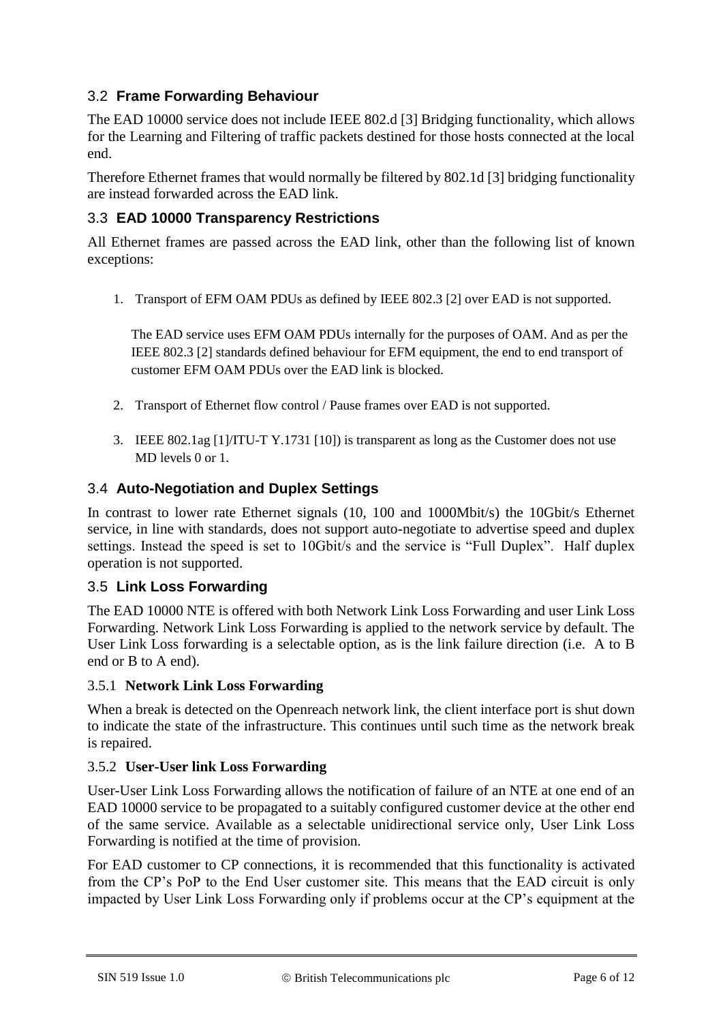# <span id="page-5-0"></span>3.2 **Frame Forwarding Behaviour**

The EAD 10000 service does not include IEEE 802.d [3] Bridging functionality, which allows for the Learning and Filtering of traffic packets destined for those hosts connected at the local end.

Therefore Ethernet frames that would normally be filtered by 802.1d [3] bridging functionality are instead forwarded across the EAD link.

## <span id="page-5-1"></span>3.3 **EAD 10000 Transparency Restrictions**

All Ethernet frames are passed across the EAD link, other than the following list of known exceptions:

1. Transport of EFM OAM PDUs as defined by IEEE 802.3 [2] over EAD is not supported.

The EAD service uses EFM OAM PDUs internally for the purposes of OAM. And as per the IEEE 802.3 [2] standards defined behaviour for EFM equipment, the end to end transport of customer EFM OAM PDUs over the EAD link is blocked.

- 2. Transport of Ethernet flow control / Pause frames over EAD is not supported.
- 3. IEEE 802.1ag [1]/ITU-T Y.1731 [10]) is transparent as long as the Customer does not use MD levels 0 or 1.

#### <span id="page-5-2"></span>3.4 **Auto-Negotiation and Duplex Settings**

In contrast to lower rate Ethernet signals (10, 100 and 1000Mbit/s) the 10Gbit/s Ethernet service, in line with standards, does not support auto-negotiate to advertise speed and duplex settings. Instead the speed is set to 10Gbit/s and the service is "Full Duplex". Half duplex operation is not supported.

#### <span id="page-5-3"></span>3.5 **Link Loss Forwarding**

The EAD 10000 NTE is offered with both Network Link Loss Forwarding and user Link Loss Forwarding. Network Link Loss Forwarding is applied to the network service by default. The User Link Loss forwarding is a selectable option, as is the link failure direction (i.e. A to B end or B to A end).

#### <span id="page-5-4"></span>3.5.1 **Network Link Loss Forwarding**

When a break is detected on the Openreach network link, the client interface port is shut down to indicate the state of the infrastructure. This continues until such time as the network break is repaired.

#### <span id="page-5-5"></span>3.5.2 **User-User link Loss Forwarding**

User-User Link Loss Forwarding allows the notification of failure of an NTE at one end of an EAD 10000 service to be propagated to a suitably configured customer device at the other end of the same service. Available as a selectable unidirectional service only, User Link Loss Forwarding is notified at the time of provision.

For EAD customer to CP connections, it is recommended that this functionality is activated from the CP's PoP to the End User customer site. This means that the EAD circuit is only impacted by User Link Loss Forwarding only if problems occur at the CP's equipment at the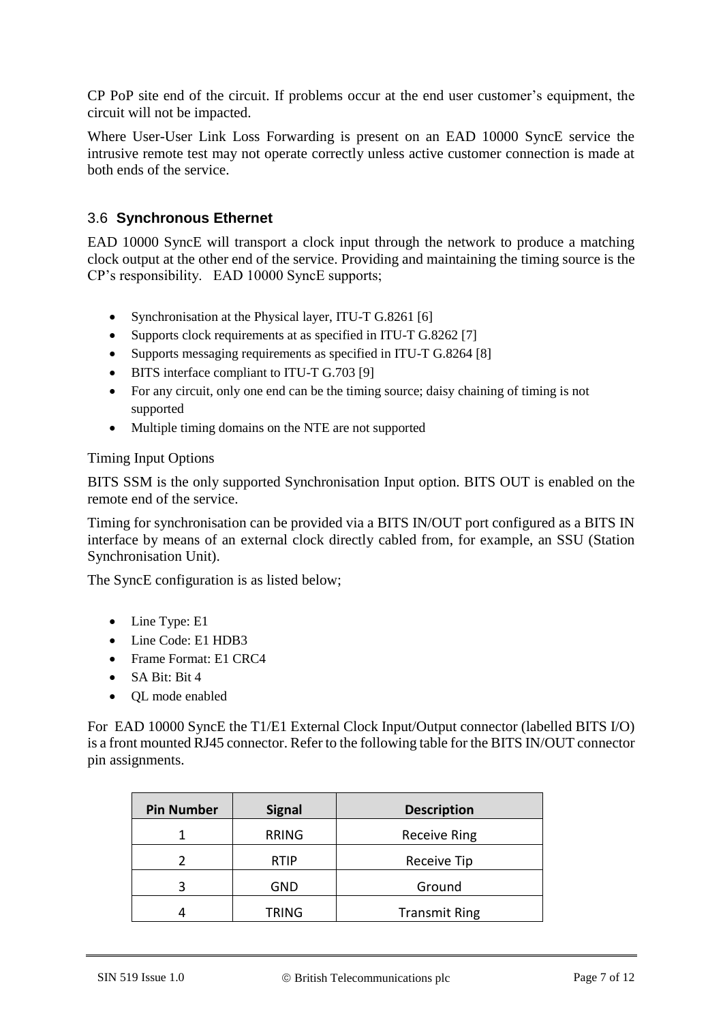CP PoP site end of the circuit. If problems occur at the end user customer's equipment, the circuit will not be impacted.

Where User-User Link Loss Forwarding is present on an EAD 10000 SyncE service the intrusive remote test may not operate correctly unless active customer connection is made at both ends of the service.

# <span id="page-6-0"></span>3.6 **Synchronous Ethernet**

EAD 10000 SyncE will transport a clock input through the network to produce a matching clock output at the other end of the service. Providing and maintaining the timing source is the CP's responsibility. EAD 10000 SyncE supports;

- Synchronisation at the Physical layer, ITU-T G.8261 [6]
- Supports clock requirements at as specified in ITU-T G.8262 [7]
- Supports messaging requirements as specified in ITU-T G.8264 [8]
- BITS interface compliant to ITU-T G.703 [9]
- For any circuit, only one end can be the timing source; daisy chaining of timing is not supported
- Multiple timing domains on the NTE are not supported

#### Timing Input Options

BITS SSM is the only supported Synchronisation Input option. BITS OUT is enabled on the remote end of the service.

Timing for synchronisation can be provided via a BITS IN/OUT port configured as a BITS IN interface by means of an external clock directly cabled from, for example, an SSU (Station Synchronisation Unit).

The SyncE configuration is as listed below;

- Line Type: E1
- Line Code: E1 HDB3
- Frame Format: E1 CRC4
- SA Bit: Bit 4
- QL mode enabled

For EAD 10000 SyncE the T1/E1 External Clock Input/Output connector (labelled BITS I/O) is a front mounted RJ45 connector. Refer to the following table for the BITS IN/OUT connector pin assignments.

| <b>Pin Number</b> | <b>Signal</b> | <b>Description</b>   |
|-------------------|---------------|----------------------|
|                   | <b>RRING</b>  | <b>Receive Ring</b>  |
|                   | <b>RTIP</b>   | Receive Tip          |
| ঽ                 | GND           | Ground               |
|                   | <b>TRING</b>  | <b>Transmit Ring</b> |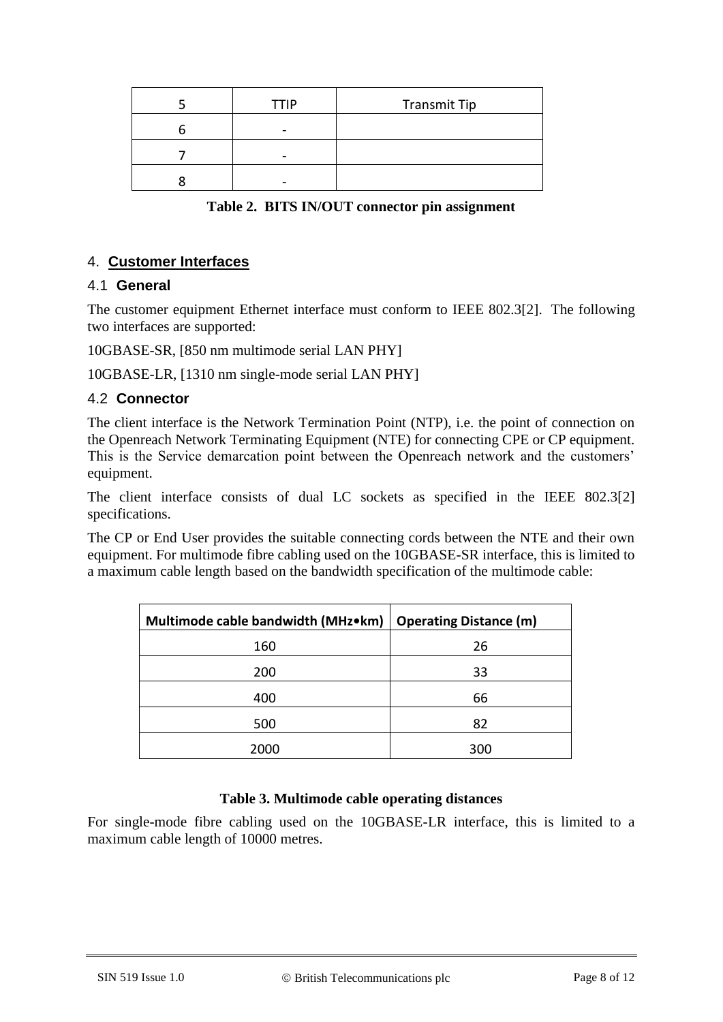| <b>TTIP</b> | <b>Transmit Tip</b> |
|-------------|---------------------|
|             |                     |
|             |                     |
|             |                     |

**Table 2. BITS IN/OUT connector pin assignment**

## <span id="page-7-0"></span>4. **Customer Interfaces**

#### <span id="page-7-1"></span>4.1 **General**

The customer equipment Ethernet interface must conform to IEEE 802.3[2]. The following two interfaces are supported:

10GBASE-SR, [850 nm multimode serial LAN PHY]

10GBASE-LR, [1310 nm single-mode serial LAN PHY]

#### <span id="page-7-2"></span>4.2 **Connector**

The client interface is the Network Termination Point (NTP), i.e. the point of connection on the Openreach Network Terminating Equipment (NTE) for connecting CPE or CP equipment. This is the Service demarcation point between the Openreach network and the customers' equipment.

The client interface consists of dual LC sockets as specified in the IEEE 802.3[2] specifications.

The CP or End User provides the suitable connecting cords between the NTE and their own equipment. For multimode fibre cabling used on the 10GBASE-SR interface, this is limited to a maximum cable length based on the bandwidth specification of the multimode cable:

| Multimode cable bandwidth (MHz•km) | <b>Operating Distance (m)</b> |
|------------------------------------|-------------------------------|
| 160                                | 26                            |
| 200                                | 33                            |
| 400                                | 66                            |
| 500                                | 82                            |
| 2000                               | 300                           |

#### **Table 3. Multimode cable operating distances**

For single-mode fibre cabling used on the 10GBASE-LR interface, this is limited to a maximum cable length of 10000 metres.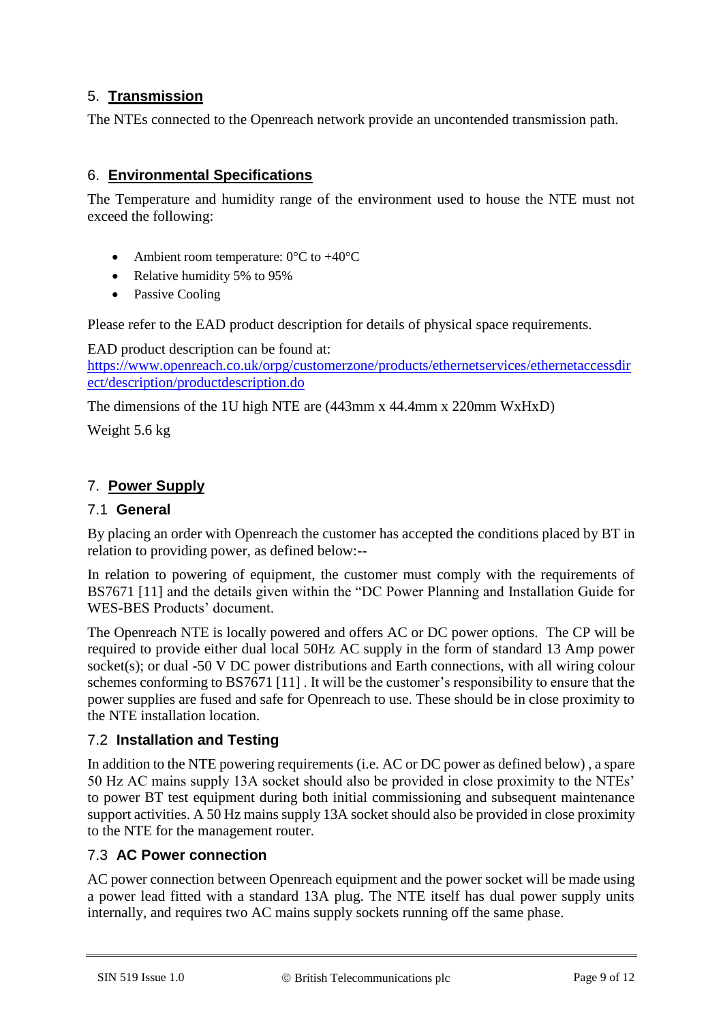# <span id="page-8-0"></span>5. **Transmission**

The NTEs connected to the Openreach network provide an uncontended transmission path.

## <span id="page-8-1"></span>6. **Environmental Specifications**

The Temperature and humidity range of the environment used to house the NTE must not exceed the following:

- Ambient room temperature:  $0^{\circ}$ C to +40 $^{\circ}$ C
- Relative humidity 5% to 95%
- Passive Cooling

Please refer to the EAD product description for details of physical space requirements.

EAD product description can be found at: [https://www.openreach.co.uk/orpg/customerzone/products/ethernetservices/ethernetaccessdir](https://www.openreach.co.uk/orpg/customerzone/products/ethernetservices/ethernetaccessdirect/description/productdescription.do) [ect/description/productdescription.do](https://www.openreach.co.uk/orpg/customerzone/products/ethernetservices/ethernetaccessdirect/description/productdescription.do)

The dimensions of the 1U high NTE are (443mm x 44.4mm x 220mm WxHxD)

Weight 5.6 kg

# <span id="page-8-2"></span>7. **Power Supply**

#### <span id="page-8-3"></span>7.1 **General**

By placing an order with Openreach the customer has accepted the conditions placed by BT in relation to providing power, as defined below:--

In relation to powering of equipment, the customer must comply with the requirements of BS7671 [11] and the details given within the "DC Power Planning and Installation Guide for WES-BES Products' document.

The Openreach NTE is locally powered and offers AC or DC power options. The CP will be required to provide either dual local 50Hz AC supply in the form of standard 13 Amp power socket(s); or dual -50 V DC power distributions and Earth connections, with all wiring colour schemes conforming to BS7671 [11] . It will be the customer's responsibility to ensure that the power supplies are fused and safe for Openreach to use. These should be in close proximity to the NTE installation location.

#### <span id="page-8-4"></span>7.2 **Installation and Testing**

In addition to the NTE powering requirements (i.e. AC or DC power as defined below) , a spare 50 Hz AC mains supply 13A socket should also be provided in close proximity to the NTEs' to power BT test equipment during both initial commissioning and subsequent maintenance support activities. A 50 Hz mains supply 13A socket should also be provided in close proximity to the NTE for the management router.

#### <span id="page-8-5"></span>7.3 **AC Power connection**

AC power connection between Openreach equipment and the power socket will be made using a power lead fitted with a standard 13A plug. The NTE itself has dual power supply units internally, and requires two AC mains supply sockets running off the same phase.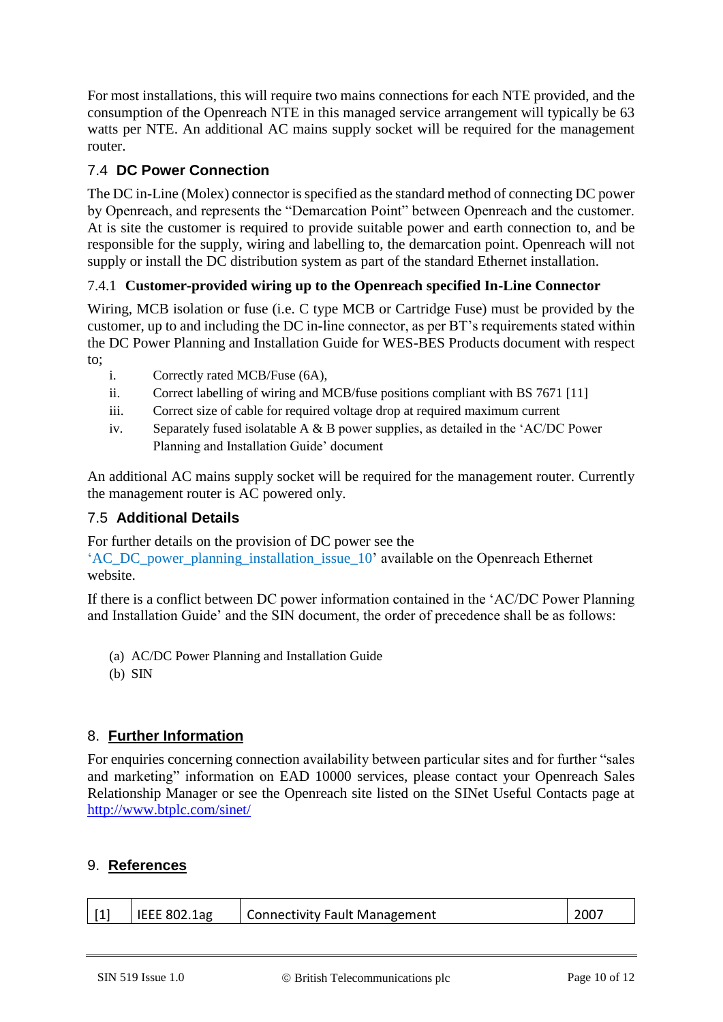For most installations, this will require two mains connections for each NTE provided, and the consumption of the Openreach NTE in this managed service arrangement will typically be 63 watts per NTE. An additional AC mains supply socket will be required for the management router.

# <span id="page-9-0"></span>7.4 **DC Power Connection**

The DC in-Line (Molex) connector is specified as the standard method of connecting DC power by Openreach, and represents the "Demarcation Point" between Openreach and the customer. At is site the customer is required to provide suitable power and earth connection to, and be responsible for the supply, wiring and labelling to, the demarcation point. Openreach will not supply or install the DC distribution system as part of the standard Ethernet installation.

## <span id="page-9-1"></span>7.4.1 **Customer-provided wiring up to the Openreach specified In-Line Connector**

Wiring, MCB isolation or fuse (i.e. C type MCB or Cartridge Fuse) must be provided by the customer, up to and including the DC in-line connector, as per BT's requirements stated within the DC Power Planning and Installation Guide for WES-BES Products document with respect to;

- i. Correctly rated MCB/Fuse (6A),
- ii. Correct labelling of wiring and MCB/fuse positions compliant with BS 7671 [11]
- iii. Correct size of cable for required voltage drop at required maximum current
- iv. Separately fused isolatable A & B power supplies, as detailed in the 'AC/DC Power Planning and Installation Guide' document

An additional AC mains supply socket will be required for the management router. Currently the management router is AC powered only.

## <span id="page-9-2"></span>7.5 **Additional Details**

For further details on the provision of DC power see the

['AC\\_DC\\_power\\_planning\\_installation\\_issue\\_10'](https://www.openreach.co.uk/orpg/aboutus/saveHitCount.do?data=AWSqQZzD6olvpQborrqw3VxIlDWgIqKN%2BUjbFaTugWe9W5x7xs96C9hGaTz%2FfsuA9etthglMi1SIlfbKzpAiLEZIsyf%2B%2FRnv4roMmTyx1nKKCKpJxWC0Q7g2GBvJ%2FnWQS8zoGs3TZcHqyNTArWH1%2BtiXzFrWA4TVxTcDmN2c8YPexjSyTRqYBMqF4PWtq6rAH19zynjTtn5eqq0FhGSfqcvMpP0TXuGM4dliR9DSNvVba5FvEz4krukRuCCbqYkv) available on the Openreach Ethernet website.

If there is a conflict between DC power information contained in the 'AC/DC Power Planning and Installation Guide' and the SIN document, the order of precedence shall be as follows:

- (a) AC/DC Power Planning and Installation Guide
- (b) SIN

# <span id="page-9-3"></span>8. **Further Information**

For enquiries concerning connection availability between particular sites and for further "sales and marketing" information on EAD 10000 services, please contact your Openreach Sales Relationship Manager or see the Openreach site listed on the SINet Useful Contacts page at <http://www.btplc.com/sinet/>

#### <span id="page-9-4"></span>9. **References**

| $\vert$ [1] | I IEEE 802.1ag | Connectivity Fault Management | 2007 |
|-------------|----------------|-------------------------------|------|
|             |                |                               |      |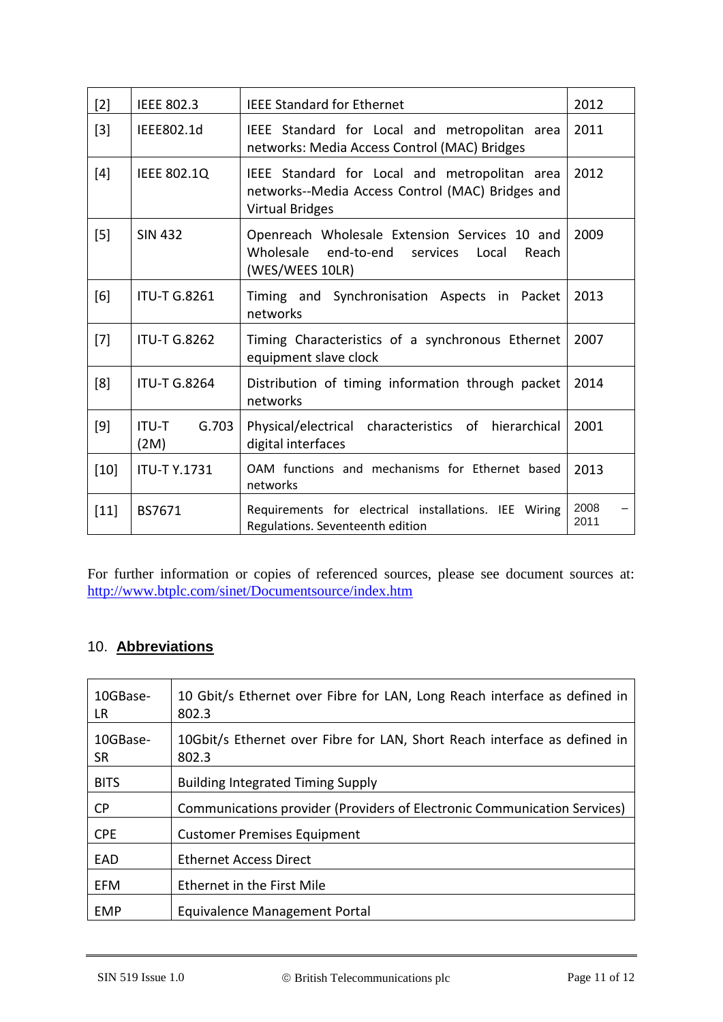| $[2]$  | <b>IEEE 802.3</b>             | <b>IEEE Standard for Ethernet</b>                                                                                           | 2012         |
|--------|-------------------------------|-----------------------------------------------------------------------------------------------------------------------------|--------------|
| $[3]$  | IEEE802.1d                    | IEEE Standard for Local and metropolitan area<br>networks: Media Access Control (MAC) Bridges                               | 2011         |
| $[4]$  | <b>IEEE 802.1Q</b>            | IEEE Standard for Local and metropolitan area<br>networks--Media Access Control (MAC) Bridges and<br><b>Virtual Bridges</b> | 2012         |
| $[5]$  | <b>SIN 432</b>                | Openreach Wholesale Extension Services 10 and<br>end-to-end<br>Wholesale<br>services<br>Local<br>Reach<br>(WES/WEES 10LR)   | 2009         |
| [6]    | <b>ITU-T G.8261</b>           | Timing and Synchronisation Aspects in<br>Packet<br>networks                                                                 | 2013         |
| $[7]$  | <b>ITU-T G.8262</b>           | Timing Characteristics of a synchronous Ethernet<br>equipment slave clock                                                   | 2007         |
| [8]    | <b>ITU-T G.8264</b>           | Distribution of timing information through packet<br>networks                                                               | 2014         |
| [9]    | G.703<br><b>ITU-T</b><br>(2M) | characteristics of hierarchical<br>Physical/electrical<br>digital interfaces                                                | 2001         |
| $[10]$ | <b>ITU-TY.1731</b>            | OAM functions and mechanisms for Ethernet based<br>networks                                                                 | 2013         |
| $[11]$ | BS7671                        | Requirements for electrical installations. IEE Wiring<br>Regulations. Seventeenth edition                                   | 2008<br>2011 |

For further information or copies of referenced sources, please see document sources at: <http://www.btplc.com/sinet/Documentsource/index.htm>

# <span id="page-10-0"></span>10. **Abbreviations**

| 10GBase-<br>LR. | 10 Gbit/s Ethernet over Fibre for LAN, Long Reach interface as defined in<br>802.3 |
|-----------------|------------------------------------------------------------------------------------|
| 10GBase-<br>SR. | 10Gbit/s Ethernet over Fibre for LAN, Short Reach interface as defined in<br>802.3 |
| <b>BITS</b>     | <b>Building Integrated Timing Supply</b>                                           |
| CP.             | Communications provider (Providers of Electronic Communication Services)           |
| <b>CPE</b>      | <b>Customer Premises Equipment</b>                                                 |
| EAD             | <b>Ethernet Access Direct</b>                                                      |
| <b>EFM</b>      | Ethernet in the First Mile                                                         |
| <b>EMP</b>      | Equivalence Management Portal                                                      |